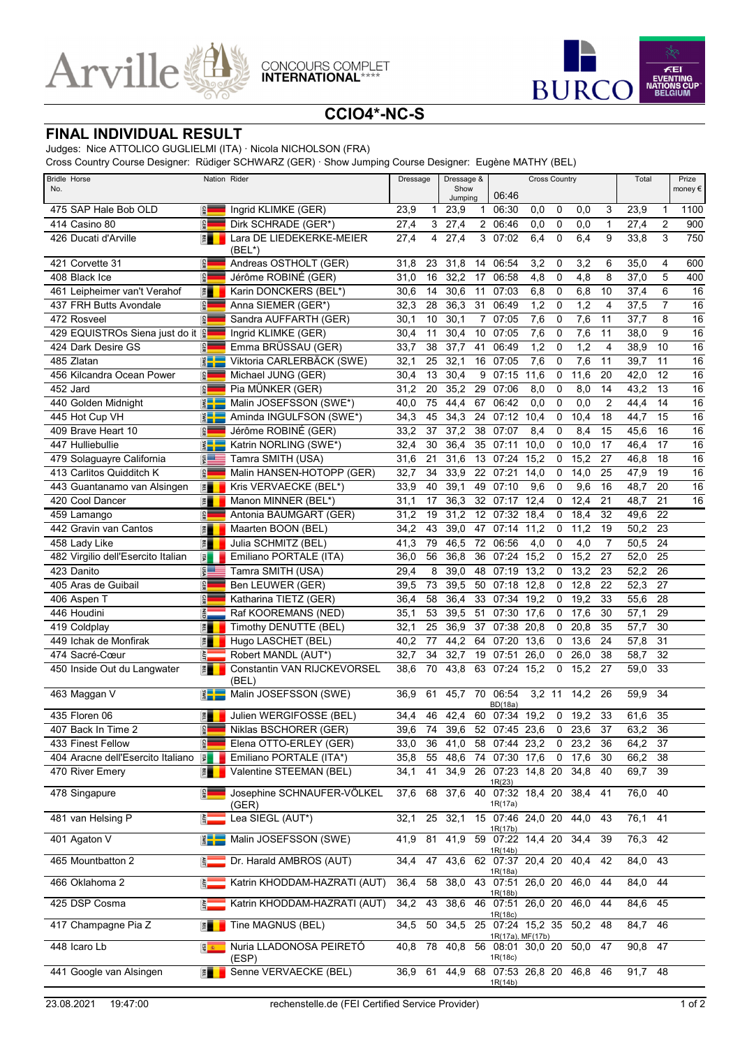



## **CCIO4\*-NC-S**

## **FINAL INDIVIDUAL RESULT**

Judges: Nice ATTOLICO GUGLIELMI (ITA) · Nicola NICHOLSON (FRA)

Cross Country Course Designer: Rüdiger SCHWARZ (GER) · Show Jumping Course Designer: Eugène MATHY (BEL)

| <b>Bridle Horse</b><br>No.         | Nation Rider       |                                      | Dressage &<br><b>Dressage</b><br>Show |    |                   | <b>Cross Country</b><br>06:46 |                                                   |          |             |          | Total          |           | Prize<br>money € |                 |
|------------------------------------|--------------------|--------------------------------------|---------------------------------------|----|-------------------|-------------------------------|---------------------------------------------------|----------|-------------|----------|----------------|-----------|------------------|-----------------|
| 475 SAP Hale Bob OLD               | GER                | Ingrid KLIMKE (GER)                  | 23,9                                  | 1  | Jumping<br>23,9   | $\mathbf{1}$                  | 06:30                                             | 0,0      | 0           | 0,0      | 3              | 23,9      | $\mathbf{1}$     | 1100            |
| 414 Casino 80                      | GER                | Dirk SCHRADE (GER*)                  | 27,4                                  | 3  | $\overline{27,4}$ |                               | 2 06:46                                           | 0,0      | 0           | 0,0      | $\mathbf{1}$   | 27,4      | $\overline{2}$   | 900             |
| 426 Ducati d'Arville               | 潭                  | Lara DE LIEDEKERKE-MEIER<br>(BEL*)   | 27,4                                  | 4  | 27,4              |                               | 3 07:02                                           | 6,4      | $\mathbf 0$ | 6,4      | 9              | 33,8      | 3                | 750             |
| 421 Corvette 31                    | <b>GER</b>         | Andreas OSTHOLT (GER)                | 31,8                                  | 23 | 31,8              | 14                            | 06:54                                             | 3,2      | 0           | 3,2      | 6              | 35,0      | 4                | 600             |
| 408 Black Ice                      | GER                | Jérôme ROBINÉ (GER)                  | 31,0                                  | 16 | 32,2              | 17                            | 06:58                                             | 4,8      | 0           | 4,8      | 8              | 37,0      | 5                | 400             |
| 461 Leipheimer van't Verahof       | E                  | Karin DONCKERS (BEL*)                | 30,6                                  | 14 | 30,6              | 11                            | 07:03                                             | 6,8      | 0           | 6,8      | 10             | 37,4      | 6                | 16              |
| 437 FRH Butts Avondale             | GER                | Anna SIEMER (GER*)                   | 32,3                                  | 28 | 36,3              | 31                            | 06:49                                             | 1,2      | 0           | 1,2      | 4              | 37,5      | 7                | 16              |
| 472 Rosveel                        | GER                | Sandra AUFFARTH (GER)                | 30,1                                  | 10 | 30,1              | 7                             | 07:05                                             | 7,6      | 0           | 7,6      | 11             | 37,7      | 8                | $\overline{16}$ |
| 429 EQUISTROs Siena just do it     |                    | Ingrid KLIMKE (GER)                  | 30,4                                  | 11 | 30,4              | 10                            | 07:05                                             | 7,6      | 0           | 7,6      | 11             | 38,0      | 9                | 16              |
| 424 Dark Desire GS                 | GER                | Emma BRÜSSAU (GER)                   | 33,7                                  | 38 | 37,7              | 41                            | 06:49                                             | 1,2      | $\mathbf 0$ | 1,2      | 4              | 38,9      | 10               | 16              |
| 485 Zlatan                         | $rac{1}{\sqrt{1}}$ | Viktoria CARLERBÄCK (SWE)            | 32,1                                  | 25 | 32,1              | 16                            | 07:05                                             | 7,6      | $\mathbf 0$ | 7,6      | 11             | 39,7      | 11               | 16              |
| 456 Kilcandra Ocean Power          | <b>GER</b>         | Michael JUNG (GER)                   | 30,4                                  | 13 | 30,4              | 9                             | 07:15                                             | 11,6     | 0           | 11,6     | 20             | 42,0      | 12               | 16              |
| $\overline{452}$ Jard              | GER                | Pia MÜNKER (GER)                     | 31,2                                  | 20 | 35,2              | 29                            | 07:06                                             | 8,0      | 0           | 8,0      | 14             | 43,2      | 13               | 16              |
| 440 Golden Midnight                | $rac{1}{2}$        | Malin JOSEFSSON (SWE*)               | 40,0                                  | 75 | 44,4              | 67                            | 06:42                                             | 0,0      | $\mathbf 0$ | 0,0      | 2              | 44,4      | 14               | $\overline{16}$ |
| 445 Hot Cup VH                     | $rac{1}{2}$        | Aminda INGULFSON (SWE*)              | 34,3                                  | 45 | 34,3              | 24                            | 07:12                                             | 10,4     | 0           | 10,4     | 18             | 44,7      | 15               | 16              |
| 409 Brave Heart 10                 | GER                | Jérôme ROBINÉ (GER)                  | 33,2                                  | 37 | 37,2              | 38                            | 07:07                                             | 8,4      | $\mathbf 0$ | 8,4      | 15             | 45,6      | 16               | $\overline{16}$ |
| 447 Hulliebullie                   | <b>SWE</b>         | Katrin NORLING (SWE*)                | 32,4                                  | 30 | 36,4              | 35                            | 07:11                                             | 10,0     | 0           | 10,0     | 17             | 46,4      | 17               | 16              |
| 479 Solaguayre California          | vsn                | Tamra SMITH (USA)                    | 31,6                                  | 21 | 31,6              | 13                            | 07:24                                             | 15,2     | 0           | 15,2     | 27             | 46,8      | 18               | $\overline{16}$ |
| 413 Carlitos Quidditch K           | GER                | Malin HANSEN-HOTOPP (GER)            | 32,7                                  | 34 | 33,9              | 22                            | 07:21                                             | 14,0     | 0           | 14,0     | 25             | 47,9      | 19               | 16              |
| 443 Guantanamo van Alsingen        | E                  | Kris VERVAECKE (BEL*)                | 33,9                                  | 40 | 39,1              | 49                            | 07:10                                             | 9,6      | 0           | 9,6      | 16             | 48,7      | 20               | 16              |
| 420 Cool Dancer                    | 門                  | Manon MINNER (BEL*)                  | 31,1                                  | 17 | 36,3              | 32                            | 07:17                                             | 12,4     | 0           | 12,4     | 21             | 48,7      | 21               | 16              |
| 459 Lamango                        | GER                | Antonia BAUMGART (GER)               | 31,2                                  | 19 | 31,2              | 12                            | 07:32                                             | 18,4     | 0           | 18,4     | 32             | 49,6      | 22               |                 |
| 442 Gravin van Cantos              | E                  | Maarten BOON (BEL)                   | 34,2                                  | 43 | 39,0              | 47                            | 07:14                                             | 11,2     | 0           | 11,2     | 19             | 50,2      | 23               |                 |
| 458 Lady Like                      | $\overline{\Xi}$   | Julia SCHMITZ (BEL)                  | 41,3                                  | 79 | 46,5              | 72                            | 06:56                                             | 4,0      | 0           | 4,0      | $\overline{7}$ | 50,5      | $\overline{24}$  |                 |
| 482 Virgilio dell'Esercito Italian | 国                  | Emiliano PORTALE (ITA)               | 36,0                                  | 56 | 36,8              | 36                            | 07:24                                             | 15,2     | 0           | 15,2     | 27             | 52,0      | 25               |                 |
| 423 Danito                         | vsn                | Tamra SMITH (USA)                    | 29,4                                  | 8  | 39,0              | 48                            | 07:19                                             | 13,2     | 0           | 13,2     | 23             | 52,2      | $\overline{26}$  |                 |
| 405 Aras de Guibail                | GER                | Ben LEUWER (GER)                     | 39,5                                  | 73 | 39,5              | 50                            | 07:18                                             | 12,8     | 0           | 12,8     | 22             | 52,3      | 27               |                 |
| 406 Aspen T                        | GER                | Katharina TIETZ (GER)                | 36,4                                  | 58 | 36,4              | 33                            | 07:34                                             | 19,2     | 0           | 19,2     | 33             | 55,6      | 28               |                 |
| 446 Houdini                        | $\frac{2}{9}$      | Raf KOOREMANS (NED)                  | 35,1                                  | 53 | 39,5              | 51                            | 07:30                                             | 17,6     | 0           | 17,6     | 30             | 57,1      | 29               |                 |
| 419 Coldplay                       | E                  | Timothy DENUTTE (BEL)                | 32,1                                  | 25 | 36,9              | 37                            | 07:38                                             | 20,8     | 0           | 20,8     | 35             | 57,7      | 30               |                 |
| 449 Ichak de Monfirak              | 門                  | Hugo LASCHET (BEL)                   | 40,2                                  | 77 | 44,2              | 64                            | 07:20                                             | 13,6     | 0           | 13,6     | 24             | 57,8      | 31               |                 |
| 474 Sacré-Cœur                     | $\vec{p}$          | Robert MANDL (AUT*)                  | 32,7                                  | 34 | 32,7              | 19                            | 07:51                                             | 26,0     | 0           | 26,0     | 38             | 58,7      | 32               |                 |
| 450 Inside Out du Langwater        | 門                  | Constantin VAN RIJCKEVORSEL<br>(BEL) | 38,6                                  | 70 | 43,8              | 63                            | 07:24                                             | 15,2     | $\mathbf 0$ | 15,2     | 27             | 59,0      | 33               |                 |
| 463 Maggan V                       | $\frac{2}{3}$      | Malin JOSEFSSON (SWE)                | 36,9                                  | 61 | 45,7              |                               | 70 06:54<br><b>BD(18a)</b>                        | $3,2$ 11 |             | 14,2     | 26             | 59,9      | 34               |                 |
| 435 Floren 06                      | 門                  | Julien WERGIFOSSE (BEL)              | 34,4                                  | 46 | 42,4              |                               | 60 07:34 19,2                                     |          |             | $0$ 19.2 | 33             | 61,6      | 35               |                 |
| 407 Back In Time 2                 | 罰                  | Niklas BSCHORER (GER)                | 39,6                                  | 74 |                   |                               | 39,6 52 07:45 23,6                                |          | $\sigma$    | 23,6     | 37             | 63,2      | 36               |                 |
| 433 Finest Fellow                  | GER                | Elena OTTO-ERLEY (GER)               | 33,0                                  | 36 | 41,0              |                               | 58 07:44 23,2                                     |          | $\mathbf 0$ | 23,2     | 36             | 64,2      | 37               |                 |
| 404 Aracne dell'Esercito Italiano  | 园                  | Emiliano PORTALE (ITA*)              | 35,8                                  | 55 | 48,6              |                               | 74 07:30 17,6                                     |          |             | 0, 17, 6 | 30             | 66,2      | 38               |                 |
| 470 River Emery                    | 門                  | Valentine STEEMAN (BEL)              | 34,1                                  | 41 | 34,9              |                               | 26 07:23 14,8 20<br>1R(23)                        |          |             | 34,8     | 40             | 69,7      | 39               |                 |
| 478 Singapure                      | $rac{1}{2}$        | Josephine SCHNAUFER-VÖLKEL<br>(GER)  | 37,6                                  | 68 | 37,6              |                               | 40 07:32 18,4 20<br>1R(17a)                       |          |             | 38,4     | 41             | 76,0      | 40               |                 |
| 481 van Helsing P                  | š.                 | Lea SIEGL (AUT*)                     | 32,1                                  | 25 | 32,1              |                               | 15 07:46 24,0 20 44,0                             |          |             |          | 43             | 76,1      | 41               |                 |
| 401 Agaton V                       | $\sum_{k=1}^{n}$   | Malin JOSEFSSON (SWE)                | 41,9                                  | 81 | 41,9              |                               | 1R(17b)<br>59 07:22 14,4 20 34,4<br>1R(14b)       |          |             |          | 39             | 76,3      | 42               |                 |
| 465 Mountbatton 2                  | ξΞ                 | Dr. Harald AMBROS (AUT)              | 34,4                                  | 47 | 43,6              |                               | 62 07:37 20,4 20                                  |          |             | 40,4     | 42             | 84,0      | 43               |                 |
| 466 Oklahoma 2                     | $\frac{1}{2}$      | Katrin KHODDAM-HAZRATI (AUT)         | 36,4                                  | 58 | 38,0              |                               | 1R(18a)<br>43 07:51 26,0 20<br><u>1R(18b)</u>     |          |             | 46,0     | 44             | 84,0      | 44               |                 |
| 425 DSP Cosma                      |                    | Katrin KHODDAM-HAZRATI (AUT)         | 34,2                                  | 43 | 38,6              |                               | 46 07:51 26,0 20<br>1R(18c)                       |          |             | 46,0     | 44             | 84,6      | 45               |                 |
| 417 Champagne Pia Z                | $\frac{1}{2}$      | Tine MAGNUS (BEL)                    | 34,5                                  | 50 |                   |                               | 34,5 25 07:24 15,2 35 50,2 48<br>1R(17a), MF(17b) |          |             |          |                | 84,7      | 46               |                 |
| 448 Icaro Lb                       | <b>SP</b>          | Nuria LLADONOSA PEIRETÓ<br>(ESP)     | 40,8 78                               |    |                   |                               | 40,8 56 08:01 30,0 20 50,0<br>1R(18c)             |          |             |          | 47             | 90,8 47   |                  |                 |
| 441 Google van Alsingen            | 門                  | Senne VERVAECKE (BEL)                | 36,9                                  | 61 | 44,9              |                               | 68 07:53 26,8 20 46,8 46<br>1R(14b)               |          |             |          |                | $91,7$ 48 |                  |                 |